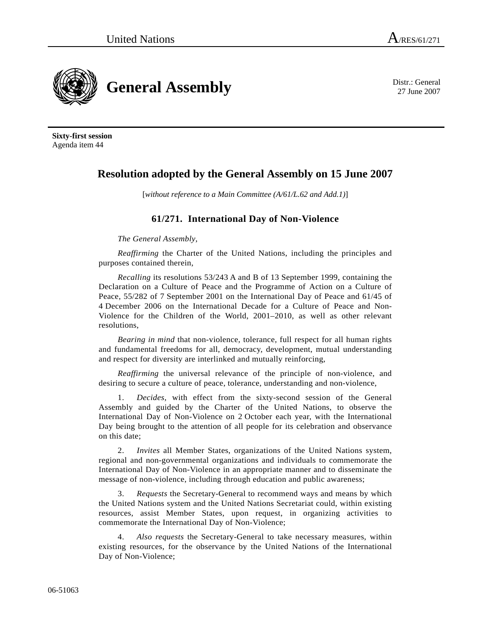

27 June 2007

**Sixty-first session**  Agenda item 44

## **Resolution adopted by the General Assembly on 15 June 2007**

[*without reference to a Main Committee (A/61/L.62 and Add.1)*]

## **61/271. International Day of Non-Violence**

*The General Assembly*,

*Reaffirming* the Charter of the United Nations, including the principles and purposes contained therein,

*Recalling* its resolutions 53/243 A and B of 13 September 1999, containing the Declaration on a Culture of Peace and the Programme of Action on a Culture of Peace, 55/282 of 7 September 2001 on the International Day of Peace and 61/45 of 4 December 2006 on the International Decade for a Culture of Peace and Non-Violence for the Children of the World, 2001–2010, as well as other relevant resolutions,

*Bearing in mind* that non-violence, tolerance, full respect for all human rights and fundamental freedoms for all, democracy, development, mutual understanding and respect for diversity are interlinked and mutually reinforcing,

*Reaffirming* the universal relevance of the principle of non-violence, and desiring to secure a culture of peace, tolerance, understanding and non-violence,

 1. *Decides*, with effect from the sixty-second session of the General Assembly and guided by the Charter of the United Nations, to observe the International Day of Non-Violence on 2 October each year, with the International Day being brought to the attention of all people for its celebration and observance on this date;

 2. *Invites* all Member States, organizations of the United Nations system, regional and non-governmental organizations and individuals to commemorate the International Day of Non-Violence in an appropriate manner and to disseminate the message of non-violence, including through education and public awareness;

 3. *Requests* the Secretary-General to recommend ways and means by which the United Nations system and the United Nations Secretariat could, within existing resources, assist Member States, upon request, in organizing activities to commemorate the International Day of Non-Violence;

 4. *Also requests* the Secretary-General to take necessary measures, within existing resources, for the observance by the United Nations of the International Day of Non-Violence;